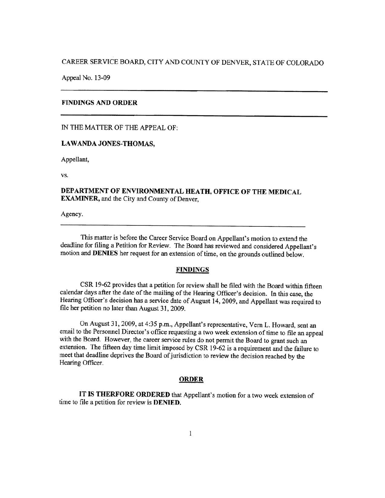# CAREER SERVICE BOARD, CITY AND COUNTY OF DENVER, STA TE OF COLORADO

Appeal No. 13·09

### **FINDINGS AND ORDER**

IN THE MATTER OF THE APPEAL OF:

### **LA WANDA JONES-THOMAS,**

Appellant,

vs.

## **DEPARTMENT OF ENVIRONMENTAL HEATH, OFFICE OF THE MEDICAL EXAMINER,** and the City and County of Denver,

Agency.

This matter is before the Career Service Board on Appellant's motion to extend the deadline for filing a Petition for Review. The Board has reviewed and considered Appellant's motion and **DENIES** her request for an extension of time, on the grounds outlined below.

### **FINDINGS**

CSR 19-62 provides that a petition for review shall be filed with the Board within fifteen calendar days after the date of the mailing of the Hearing Officer's decision. In this case, the Hearing Officer's decision has a service date of August 14, 2009, and Appellant was required to file her petition no later than August 31, 2009.

On August 31, 2009, at 4:35 p.m., Appellant's representative, Vern L. Howard, sent an email to the Personnel Director's office requesting a two week extension of time to file an appeal with the Board. However, the career service rules do not permit the Board to grant such an extension. The fifteen day time limit imposed by CSR 19-62 is a requirement and the failure to meet that deadline deprives the Board of jurisdiction to review the decision reached by the Hearing Officer.

### **ORDER**

IT **IS THERFORE ORDERED** that Appellant's motion for a two week extension of time to file a petition for review is **DENIED.**